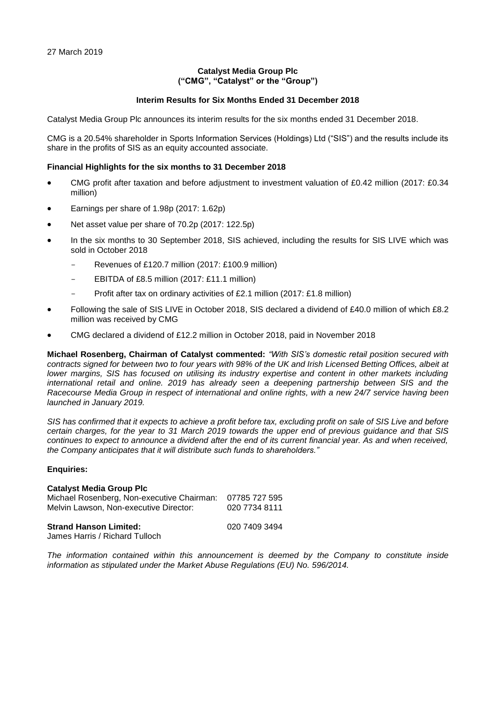## **Catalyst Media Group Plc ("CMG", "Catalyst" or the "Group")**

## **Interim Results for Six Months Ended 31 December 2018**

Catalyst Media Group Plc announces its interim results for the six months ended 31 December 2018.

CMG is a 20.54% shareholder in Sports Information Services (Holdings) Ltd ("SIS") and the results include its share in the profits of SIS as an equity accounted associate.

### **Financial Highlights for the six months to 31 December 2018**

- CMG profit after taxation and before adjustment to investment valuation of £0.42 million (2017: £0.34 million)
- Earnings per share of 1.98p (2017: 1.62p)
- Net asset value per share of 70.2p (2017: 122.5p)
- In the six months to 30 September 2018, SIS achieved, including the results for SIS LIVE which was sold in October 2018
	- Revenues of £120.7 million (2017: £100.9 million)
	- EBITDA of £8.5 million (2017: £11.1 million)
	- Profit after tax on ordinary activities of £2.1 million (2017: £1.8 million)
- Following the sale of SIS LIVE in October 2018, SIS declared a dividend of £40.0 million of which £8.2 million was received by CMG
- CMG declared a dividend of £12.2 million in October 2018, paid in November 2018

**Michael Rosenberg, Chairman of Catalyst commented:** *"With SIS's domestic retail position secured with contracts signed for between two to four years with 98% of the UK and Irish Licensed Betting Offices, albeit at lower margins, SIS has focused on utilising its industry expertise and content in other markets including international retail and online. 2019 has already seen a deepening partnership between SIS and the Racecourse Media Group in respect of international and online rights, with a new 24/7 service having been launched in January 2019.*

*SIS has confirmed that it expects to achieve a profit before tax, excluding profit on sale of SIS Live and before certain charges, for the year to 31 March 2019 towards the upper end of previous guidance and that SIS continues to expect to announce a dividend after the end of its current financial year. As and when received, the Company anticipates that it will distribute such funds to shareholders."*

### **Enquiries:**

### **Catalyst Media Group Plc**

| Michael Rosenberg, Non-executive Chairman:                      | 07785 727 595 |
|-----------------------------------------------------------------|---------------|
| Melvin Lawson, Non-executive Director:                          | 020 7734 8111 |
| <b>Strand Hanson Limited:</b><br>James Harris / Richard Tulloch | 020 7409 3494 |

*The information contained within this announcement is deemed by the Company to constitute inside information as stipulated under the Market Abuse Regulations (EU) No. 596/2014.*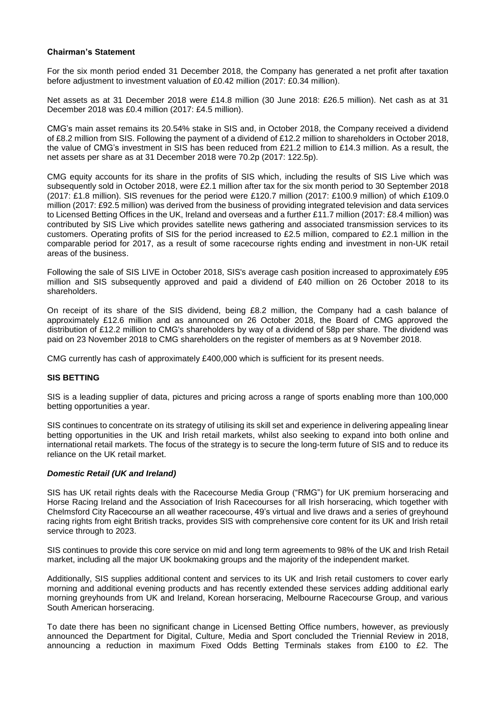### **Chairman's Statement**

For the six month period ended 31 December 2018, the Company has generated a net profit after taxation before adjustment to investment valuation of £0.42 million (2017: £0.34 million).

Net assets as at 31 December 2018 were £14.8 million (30 June 2018: £26.5 million). Net cash as at 31 December 2018 was £0.4 million (2017: £4.5 million).

CMG's main asset remains its 20.54% stake in SIS and, in October 2018, the Company received a dividend of £8.2 million from SIS. Following the payment of a dividend of £12.2 million to shareholders in October 2018, the value of CMG's investment in SIS has been reduced from £21.2 million to £14.3 million. As a result, the net assets per share as at 31 December 2018 were 70.2p (2017: 122.5p).

CMG equity accounts for its share in the profits of SIS which, including the results of SIS Live which was subsequently sold in October 2018, were £2.1 million after tax for the six month period to 30 September 2018 (2017: £1.8 million). SIS revenues for the period were £120.7 million (2017: £100.9 million) of which £109.0 million (2017: £92.5 million) was derived from the business of providing integrated television and data services to Licensed Betting Offices in the UK, Ireland and overseas and a further £11.7 million (2017: £8.4 million) was contributed by SIS Live which provides satellite news gathering and associated transmission services to its customers. Operating profits of SIS for the period increased to £2.5 million, compared to £2.1 million in the comparable period for 2017, as a result of some racecourse rights ending and investment in non-UK retail areas of the business.

Following the sale of SIS LIVE in October 2018, SIS's average cash position increased to approximately £95 million and SIS subsequently approved and paid a dividend of £40 million on 26 October 2018 to its shareholders.

On receipt of its share of the SIS dividend, being £8.2 million, the Company had a cash balance of approximately £12.6 million and as announced on 26 October 2018, the Board of CMG approved the distribution of £12.2 million to CMG's shareholders by way of a dividend of 58p per share. The dividend was paid on 23 November 2018 to CMG shareholders on the register of members as at 9 November 2018.

CMG currently has cash of approximately £400,000 which is sufficient for its present needs.

### **SIS BETTING**

SIS is a leading supplier of data, pictures and pricing across a range of sports enabling more than 100,000 betting opportunities a year.

SIS continues to concentrate on its strategy of utilising its skill set and experience in delivering appealing linear betting opportunities in the UK and Irish retail markets, whilst also seeking to expand into both online and international retail markets. The focus of the strategy is to secure the long-term future of SIS and to reduce its reliance on the UK retail market.

### *Domestic Retail (UK and Ireland)*

SIS has UK retail rights deals with the Racecourse Media Group ("RMG") for UK premium horseracing and Horse Racing Ireland and the Association of Irish Racecourses for all Irish horseracing, which together with Chelmsford City Racecourse an all weather racecourse, 49's virtual and live draws and a series of greyhound racing rights from eight British tracks, provides SIS with comprehensive core content for its UK and Irish retail service through to 2023.

SIS continues to provide this core service on mid and long term agreements to 98% of the UK and Irish Retail market, including all the major UK bookmaking groups and the majority of the independent market.

Additionally, SIS supplies additional content and services to its UK and Irish retail customers to cover early morning and additional evening products and has recently extended these services adding additional early morning greyhounds from UK and Ireland, Korean horseracing, Melbourne Racecourse Group, and various South American horseracing.

To date there has been no significant change in Licensed Betting Office numbers, however, as previously announced the Department for Digital, Culture, Media and Sport concluded the Triennial Review in 2018, announcing a reduction in maximum Fixed Odds Betting Terminals stakes from £100 to £2. The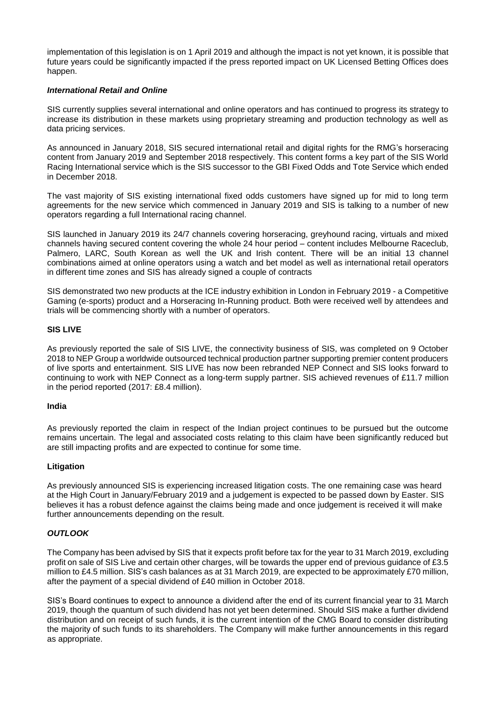implementation of this legislation is on 1 April 2019 and although the impact is not yet known, it is possible that future years could be significantly impacted if the press reported impact on UK Licensed Betting Offices does happen.

## *International Retail and Online*

SIS currently supplies several international and online operators and has continued to progress its strategy to increase its distribution in these markets using proprietary streaming and production technology as well as data pricing services.

As announced in January 2018, SIS secured international retail and digital rights for the RMG's horseracing content from January 2019 and September 2018 respectively. This content forms a key part of the SIS World Racing International service which is the SIS successor to the GBI Fixed Odds and Tote Service which ended in December 2018.

The vast majority of SIS existing international fixed odds customers have signed up for mid to long term agreements for the new service which commenced in January 2019 and SIS is talking to a number of new operators regarding a full International racing channel.

SIS launched in January 2019 its 24/7 channels covering horseracing, greyhound racing, virtuals and mixed channels having secured content covering the whole 24 hour period – content includes Melbourne Raceclub, Palmero, LARC, South Korean as well the UK and Irish content. There will be an initial 13 channel combinations aimed at online operators using a watch and bet model as well as international retail operators in different time zones and SIS has already signed a couple of contracts

SIS demonstrated two new products at the ICE industry exhibition in London in February 2019 - a Competitive Gaming (e-sports) product and a Horseracing In-Running product. Both were received well by attendees and trials will be commencing shortly with a number of operators.

## **SIS LIVE**

As previously reported the sale of SIS LIVE, the connectivity business of SIS, was completed on 9 October 2018 to NEP Group a worldwide outsourced technical production partner supporting premier content producers of live sports and entertainment. SIS LIVE has now been rebranded NEP Connect and SIS looks forward to continuing to work with NEP Connect as a long-term supply partner. SIS achieved revenues of £11.7 million in the period reported (2017: £8.4 million).

### **India**

As previously reported the claim in respect of the Indian project continues to be pursued but the outcome remains uncertain. The legal and associated costs relating to this claim have been significantly reduced but are still impacting profits and are expected to continue for some time.

### **Litigation**

As previously announced SIS is experiencing increased litigation costs. The one remaining case was heard at the High Court in January/February 2019 and a judgement is expected to be passed down by Easter. SIS believes it has a robust defence against the claims being made and once judgement is received it will make further announcements depending on the result.

## *OUTLOOK*

The Company has been advised by SIS that it expects profit before tax for the year to 31 March 2019, excluding profit on sale of SIS Live and certain other charges, will be towards the upper end of previous guidance of £3.5 million to £4.5 million. SIS's cash balances as at 31 March 2019, are expected to be approximately £70 million, after the payment of a special dividend of £40 million in October 2018.

SIS's Board continues to expect to announce a dividend after the end of its current financial year to 31 March 2019, though the quantum of such dividend has not yet been determined. Should SIS make a further dividend distribution and on receipt of such funds, it is the current intention of the CMG Board to consider distributing the majority of such funds to its shareholders. The Company will make further announcements in this regard as appropriate.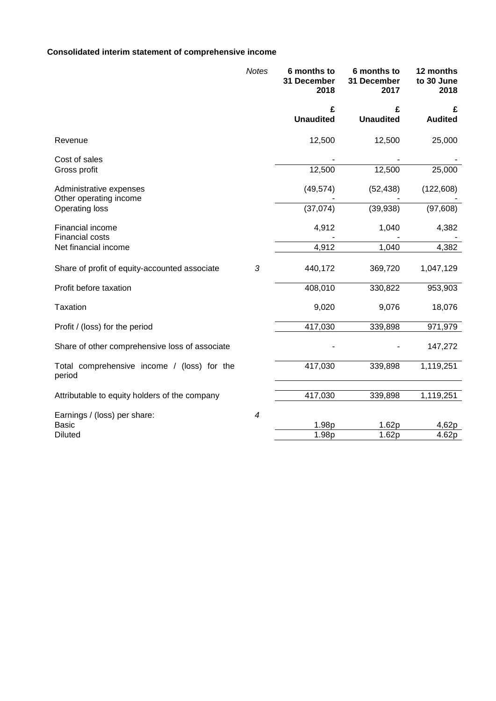## **Consolidated interim statement of comprehensive income**

|                                                       | Notes          | 6 months to<br>31 December<br>2018 | 6 months to<br>31 December<br>2017 | 12 months<br>to 30 June<br>2018 |
|-------------------------------------------------------|----------------|------------------------------------|------------------------------------|---------------------------------|
|                                                       |                | £<br><b>Unaudited</b>              | £<br><b>Unaudited</b>              | £<br><b>Audited</b>             |
| Revenue                                               |                | 12,500                             | 12,500                             | 25,000                          |
| Cost of sales                                         |                |                                    |                                    |                                 |
| Gross profit                                          |                | 12,500                             | 12,500                             | 25,000                          |
| Administrative expenses<br>Other operating income     |                | (49, 574)                          | (52, 438)                          | (122, 608)                      |
| <b>Operating loss</b>                                 |                | (37,074)                           | (39, 938)                          | (97, 608)                       |
| Financial income<br><b>Financial costs</b>            |                | 4,912                              | 1,040                              | 4,382                           |
| Net financial income                                  |                | 4,912                              | 1,040                              | 4,382                           |
| Share of profit of equity-accounted associate         | $\sqrt{3}$     | 440,172                            | 369,720                            | 1,047,129                       |
| Profit before taxation                                |                | 408,010                            | 330,822                            | 953,903                         |
| <b>Taxation</b>                                       |                | 9,020                              | 9,076                              | 18,076                          |
| Profit / (loss) for the period                        |                | 417,030                            | 339,898                            | 971,979                         |
| Share of other comprehensive loss of associate        |                |                                    |                                    | 147,272                         |
| Total comprehensive income / (loss) for the<br>period |                | 417,030                            | 339,898                            | 1,119,251                       |
| Attributable to equity holders of the company         |                | 417,030                            | 339,898                            | 1,119,251                       |
| Earnings / (loss) per share:                          | $\overline{4}$ |                                    |                                    |                                 |
| <b>Basic</b>                                          |                | 1.98p                              | 1.62p                              | 4,62p                           |
| <b>Diluted</b>                                        |                | 1.98p                              | 1.62p                              | 4.62p                           |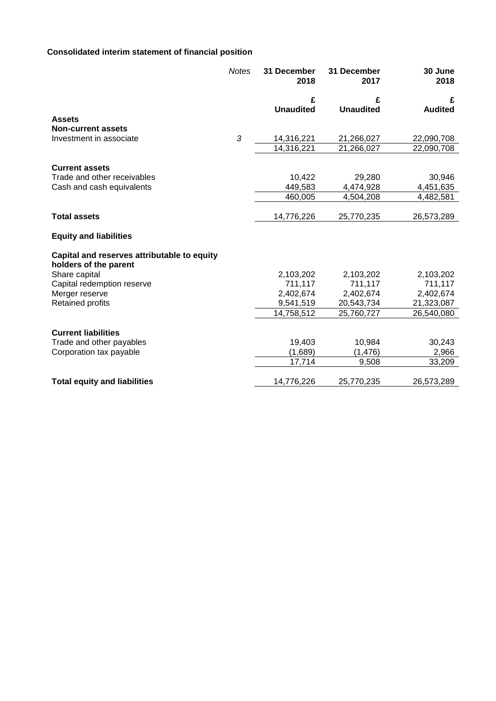# **Consolidated interim statement of financial position**

|                                                                      | <b>Notes</b> | 31 December<br>2018 | 31 December<br>2017 | 30 June<br>2018 |
|----------------------------------------------------------------------|--------------|---------------------|---------------------|-----------------|
|                                                                      |              | £                   | £                   | £               |
|                                                                      |              | <b>Unaudited</b>    | <b>Unaudited</b>    | <b>Audited</b>  |
| <b>Assets</b>                                                        |              |                     |                     |                 |
| <b>Non-current assets</b>                                            |              |                     |                     |                 |
| Investment in associate                                              | 3            | 14,316,221          | 21,266,027          | 22,090,708      |
|                                                                      |              | 14,316,221          | 21,266,027          | 22,090,708      |
| <b>Current assets</b>                                                |              |                     |                     |                 |
| Trade and other receivables                                          |              | 10,422              | 29,280              | 30,946          |
| Cash and cash equivalents                                            |              | 449,583             | 4,474,928           | 4,451,635       |
|                                                                      |              | 460,005             | 4,504,208           | 4,482,581       |
|                                                                      |              |                     |                     |                 |
| <b>Total assets</b>                                                  |              | 14,776,226          | 25,770,235          | 26,573,289      |
| <b>Equity and liabilities</b>                                        |              |                     |                     |                 |
| Capital and reserves attributable to equity<br>holders of the parent |              |                     |                     |                 |
| Share capital                                                        |              | 2,103,202           | 2,103,202           | 2,103,202       |
| Capital redemption reserve                                           |              | 711,117             | 711,117             | 711,117         |
| Merger reserve                                                       |              | 2,402,674           | 2,402,674           | 2,402,674       |
| <b>Retained profits</b>                                              |              | 9,541,519           | 20,543,734          | 21,323,087      |
|                                                                      |              | 14,758,512          | 25,760,727          | 26,540,080      |
| <b>Current liabilities</b>                                           |              |                     |                     |                 |
| Trade and other payables                                             |              | 19,403              | 10,984              | 30,243          |
| Corporation tax payable                                              |              | (1,689)             | (1, 476)            | 2,966           |
|                                                                      |              | 17,714              | 9,508               | 33,209          |
| <b>Total equity and liabilities</b>                                  |              | 14,776,226          | 25,770,235          | 26,573,289      |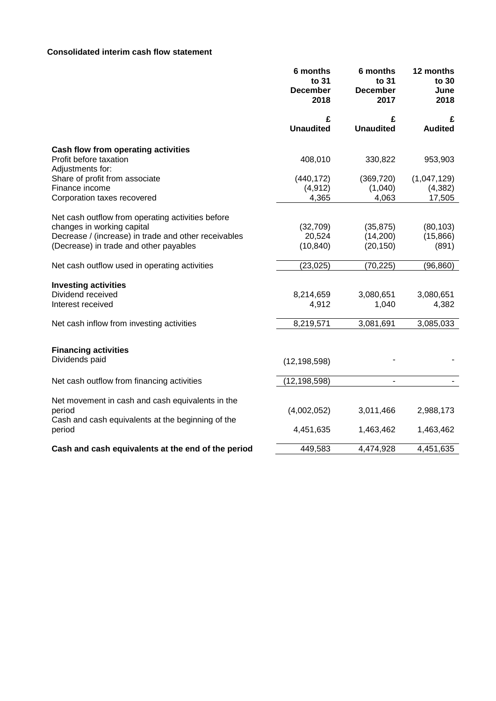## **Consolidated interim cash flow statement**

|                                                                                                                                                                                   | 6 months<br>to 31<br><b>December</b><br>2018 | 6 months<br>to 31<br><b>December</b><br>2017 | 12 months<br>to 30<br>June<br>2018 |
|-----------------------------------------------------------------------------------------------------------------------------------------------------------------------------------|----------------------------------------------|----------------------------------------------|------------------------------------|
|                                                                                                                                                                                   | £<br><b>Unaudited</b>                        | £<br><b>Unaudited</b>                        | £<br><b>Audited</b>                |
| Cash flow from operating activities<br>Profit before taxation                                                                                                                     | 408,010                                      | 330,822                                      | 953,903                            |
| Adjustments for:<br>Share of profit from associate<br>Finance income<br>Corporation taxes recovered                                                                               | (440, 172)<br>(4, 912)<br>4,365              | (369, 720)<br>(1,040)<br>4,063               | (1,047,129)<br>(4, 382)<br>17,505  |
| Net cash outflow from operating activities before<br>changes in working capital<br>Decrease / (increase) in trade and other receivables<br>(Decrease) in trade and other payables | (32,709)<br>20,524<br>(10, 840)              | (35, 875)<br>(14,200)<br>(20, 150)           | (80, 103)<br>(15, 866)<br>(891)    |
| Net cash outflow used in operating activities                                                                                                                                     | (23, 025)                                    | (70, 225)                                    | (96, 860)                          |
| <b>Investing activities</b><br>Dividend received<br>Interest received                                                                                                             | 8,214,659<br>4,912                           | 3,080,651<br>1,040                           | 3,080,651<br>4,382                 |
| Net cash inflow from investing activities                                                                                                                                         | 8,219,571                                    | 3,081,691                                    | 3,085,033                          |
| <b>Financing activities</b><br>Dividends paid                                                                                                                                     | (12, 198, 598)                               |                                              |                                    |
| Net cash outflow from financing activities                                                                                                                                        | (12, 198, 598)                               | $\blacksquare$                               |                                    |
| Net movement in cash and cash equivalents in the<br>period<br>Cash and cash equivalents at the beginning of the                                                                   | (4,002,052)                                  | 3,011,466                                    | 2,988,173                          |
| period                                                                                                                                                                            | 4,451,635                                    | 1,463,462                                    | 1,463,462                          |
| Cash and cash equivalents at the end of the period                                                                                                                                | 449,583                                      | 4,474,928                                    | 4,451,635                          |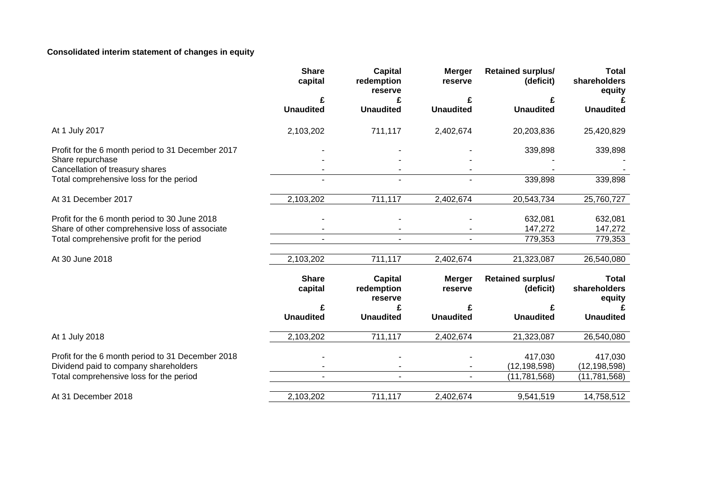## **Consolidated interim statement of changes in equity**

|                                                   | <b>Share</b><br>capital | <b>Capital</b><br>redemption<br>reserve | <b>Merger</b><br>reserve | <b>Retained surplus/</b><br>(deficit) | <b>Total</b><br>shareholders<br>equity |
|---------------------------------------------------|-------------------------|-----------------------------------------|--------------------------|---------------------------------------|----------------------------------------|
|                                                   | £                       | £                                       | £                        | £                                     |                                        |
|                                                   | <b>Unaudited</b>        | <b>Unaudited</b>                        | <b>Unaudited</b>         | <b>Unaudited</b>                      | <b>Unaudited</b>                       |
| At 1 July 2017                                    | 2,103,202               | 711,117                                 | 2,402,674                | 20,203,836                            | 25,420,829                             |
| Profit for the 6 month period to 31 December 2017 |                         |                                         |                          | 339,898                               | 339,898                                |
| Share repurchase                                  |                         |                                         |                          |                                       |                                        |
| Cancellation of treasury shares                   |                         |                                         |                          |                                       |                                        |
| Total comprehensive loss for the period           |                         |                                         |                          | 339,898                               | 339,898                                |
| At 31 December 2017                               | 2,103,202               | 711,117                                 | 2,402,674                | 20,543,734                            | 25,760,727                             |
| Profit for the 6 month period to 30 June 2018     |                         |                                         |                          | 632,081                               | 632,081                                |
| Share of other comprehensive loss of associate    |                         |                                         |                          | 147,272                               | 147,272                                |
| Total comprehensive profit for the period         |                         |                                         |                          | 779,353                               | 779,353                                |
|                                                   |                         |                                         |                          |                                       |                                        |
| At 30 June 2018                                   | 2,103,202               | 711,117                                 | 2,402,674                | 21,323,087                            | 26,540,080                             |
|                                                   | <b>Share</b><br>capital | Capital<br>redemption<br>reserve        | <b>Merger</b><br>reserve | <b>Retained surplus/</b><br>(deficit) | <b>Total</b><br>shareholders<br>equity |
|                                                   | £                       | £                                       |                          | £                                     |                                        |
|                                                   | <b>Unaudited</b>        | <b>Unaudited</b>                        | <b>Unaudited</b>         | <b>Unaudited</b>                      | <b>Unaudited</b>                       |
| At 1 July 2018                                    | 2,103,202               | 711,117                                 | 2,402,674                | 21,323,087                            | 26,540,080                             |
| Profit for the 6 month period to 31 December 2018 |                         |                                         |                          | 417,030                               | 417,030                                |
| Dividend paid to company shareholders             |                         |                                         |                          | (12, 198, 598)                        | (12, 198, 598)                         |
| Total comprehensive loss for the period           |                         |                                         |                          | (11, 781, 568)                        | (11, 781, 568)                         |
| At 31 December 2018                               | 2,103,202               | 711,117                                 | 2,402,674                | 9,541,519                             | 14,758,512                             |
|                                                   |                         |                                         |                          |                                       |                                        |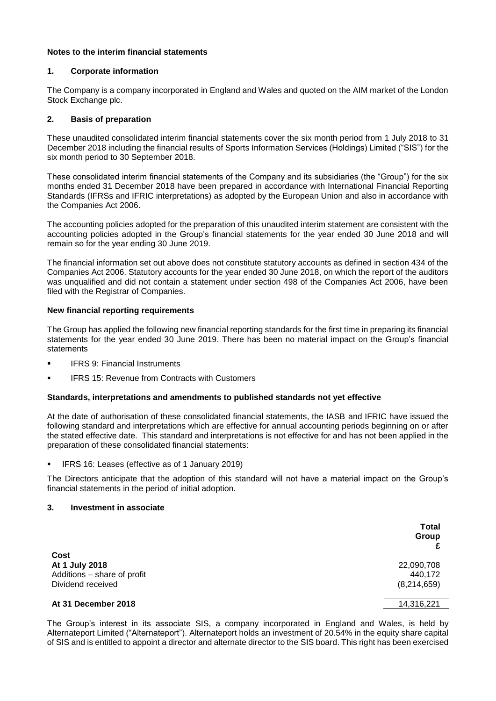## **Notes to the interim financial statements**

## **1. Corporate information**

The Company is a company incorporated in England and Wales and quoted on the AIM market of the London Stock Exchange plc.

## **2. Basis of preparation**

These unaudited consolidated interim financial statements cover the six month period from 1 July 2018 to 31 December 2018 including the financial results of Sports Information Services (Holdings) Limited ("SIS") for the six month period to 30 September 2018.

These consolidated interim financial statements of the Company and its subsidiaries (the "Group") for the six months ended 31 December 2018 have been prepared in accordance with International Financial Reporting Standards (IFRSs and IFRIC interpretations) as adopted by the European Union and also in accordance with the Companies Act 2006.

The accounting policies adopted for the preparation of this unaudited interim statement are consistent with the accounting policies adopted in the Group's financial statements for the year ended 30 June 2018 and will remain so for the year ending 30 June 2019.

The financial information set out above does not constitute statutory accounts as defined in section 434 of the Companies Act 2006. Statutory accounts for the year ended 30 June 2018, on which the report of the auditors was unqualified and did not contain a statement under section 498 of the Companies Act 2006, have been filed with the Registrar of Companies.

## **New financial reporting requirements**

The Group has applied the following new financial reporting standards for the first time in preparing its financial statements for the year ended 30 June 2019. There has been no material impact on the Group's financial statements

- **IFRS 9: Financial Instruments**
- **IFRS 15: Revenue from Contracts with Customers**

### **Standards, interpretations and amendments to published standards not yet effective**

At the date of authorisation of these consolidated financial statements, the IASB and IFRIC have issued the following standard and interpretations which are effective for annual accounting periods beginning on or after the stated effective date. This standard and interpretations is not effective for and has not been applied in the preparation of these consolidated financial statements:

**E** IFRS 16: Leases (effective as of 1 January 2019)

The Directors anticipate that the adoption of this standard will not have a material impact on the Group's financial statements in the period of initial adoption.

### **3. Investment in associate**

|                                                                            | <b>Total</b><br>Group                |
|----------------------------------------------------------------------------|--------------------------------------|
| Cost<br>At 1 July 2018<br>Additions - share of profit<br>Dividend received | 22,090,708<br>440,172<br>(8,214,659) |
| At 31 December 2018                                                        | 14,316,221                           |

The Group's interest in its associate SIS, a company incorporated in England and Wales, is held by Alternateport Limited ("Alternateport"). Alternateport holds an investment of 20.54% in the equity share capital of SIS and is entitled to appoint a director and alternate director to the SIS board. This right has been exercised